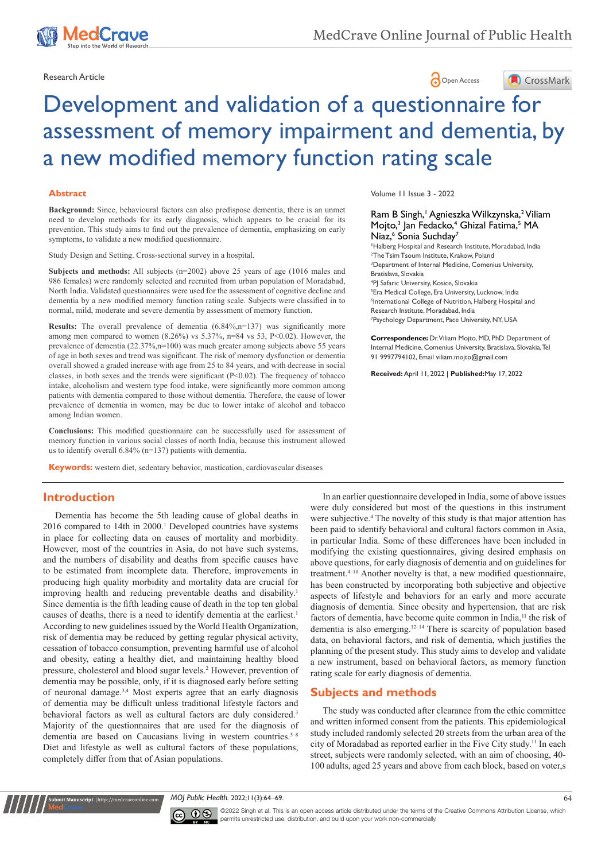

Research Article **Contracts** Contracts and Contracts Contracts Contracts Contracts Contracts Contracts Contracts Contracts Contracts Contracts Contracts Contracts Contracts Contracts Contracts Contracts Contracts Contracts





# Development and validation of a questionnaire for assessment of memory impairment and dementia, by a new modified memory function rating scale

#### **Abstract**

**Background:** Since, behavioural factors can also predispose dementia, there is an unmet need to develop methods for its early diagnosis, which appears to be crucial for its prevention. This study aims to find out the prevalence of dementia, emphasizing on early symptoms, to validate a new modified questionnaire.

Study Design and Setting. Cross-sectional survey in a hospital.

**Subjects and methods:** All subjects (n=2002) above 25 years of age (1016 males and 986 females) were randomly selected and recruited from urban population of Moradabad, North India. Validated questionnaires were used for the assessment of cognitive decline and dementia by a new modified memory function rating scale. Subjects were classified in to normal, mild, moderate and severe dementia by assessment of memory function.

**Results:** The overall prevalence of dementia (6.84%,n=137) was significantly more among men compared to women  $(8.26\%)$  vs  $5.37\%$ , n=84 vs 53, P<0.02). However, the prevalence of dementia (22.37%,n=100) was much greater among subjects above 55 years of age in both sexes and trend was significant. The risk of memory dysfunction or dementia overall showed a graded increase with age from 25 to 84 years, and with decrease in social classes, in both sexes and the trends were significant  $(P<0.02)$ . The frequency of tobacco intake, alcoholism and western type food intake, were significantly more common among patients with dementia compared to those without dementia. Therefore, the cause of lower prevalence of dementia in women, may be due to lower intake of alcohol and tobacco among Indian women.

**Conclusions:** This modified questionnaire can be successfully used for assessment of memory function in various social classes of north India, because this instrument allowed us to identify overall 6.84% (n=137) patients with dementia.

**Keywords:** western diet, sedentary behavior, mastication, cardiovascular diseases

## **Introduction**

Dementia has become the 5th leading cause of global deaths in 2016 compared to 14th in 2000.1 Developed countries have systems in place for collecting data on causes of mortality and morbidity. However, most of the countries in Asia, do not have such systems, and the numbers of disability and deaths from specific causes have to be estimated from incomplete data. Therefore, improvements in producing high quality morbidity and mortality data are crucial for improving health and reducing preventable deaths and disability.<sup>1</sup> Since dementia is the fifth leading cause of death in the top ten global causes of deaths, there is a need to identify dementia at the earliest.<sup>1</sup> According to new guidelines issued by the World Health Organization, risk of dementia may be reduced by getting regular physical activity, cessation of tobacco consumption, preventing harmful use of alcohol and obesity, eating a healthy diet, and maintaining healthy blood pressure, cholesterol and blood sugar levels.<sup>2</sup> However, prevention of dementia may be possible, only, if it is diagnosed early before setting of neuronal damage.3,4 Most experts agree that an early diagnosis of dementia may be difficult unless traditional lifestyle factors and behavioral factors as well as cultural factors are duly considered.<sup>3</sup> Majority of the questionnaires that are used for the diagnosis of dementia are based on Caucasians living in western countries.<sup>5-8</sup> Diet and lifestyle as well as cultural factors of these populations, completely differ from that of Asian populations.

Volume 11 Issue 3 - 2022

## Ram B Singh,<sup>1</sup> Agnieszka Wilkzynska,<sup>2</sup> Viliam Mojto,<sup>3</sup> Jan Fedacko,<sup>4</sup> Ghizal Fatima,<sup>5</sup> MA Niaz,<sup>6</sup> Sonia Suchday<sup>7</sup>

 Halberg Hospital and Research Institute, Moradabad, India The Tsim Tsoum Institute, Krakow, Poland Department of Internal Medicine, Comenius University, Bratislava, Slovakia PJ Safaric University, Kosice, Slovakia Era Medical College, Era University, Lucknow, India International College of Nutrition, Halberg Hospital and Research Institute, Moradabad, India Psychology Department, Pace University, NY, USA

**Correspondence:** Dr. Viliam Mojto, MD, PhD Department of Internal Medicine, Comenius University, Bratislava, Slovakia, Tel 91 9997794102, Email viliam.mojto@gmail.com

**Received:** April 11, 2022 | **Published:**May 17, 2022

In an earlier questionnaire developed in India, some of above issues were duly considered but most of the questions in this instrument were subjective.<sup>4</sup> The novelty of this study is that major attention has been paid to identify behavioral and cultural factors common in Asia, in particular India. Some of these differences have been included in modifying the existing questionnaires, giving desired emphasis on above questions, for early diagnosis of dementia and on guidelines for treatment. $4-10$  Another novelty is that, a new modified questionnaire, has been constructed by incorporating both subjective and objective aspects of lifestyle and behaviors for an early and more accurate diagnosis of dementia. Since obesity and hypertension, that are risk factors of dementia, have become quite common in India,<sup>11</sup> the risk of dementia is also emerging.12–14 There is scarcity of population based data, on behavioral factors, and risk of dementia, which justifies the planning of the present study. This study aims to develop and validate a new instrument, based on behavioral factors, as memory function rating scale for early diagnosis of dementia.

## **Subjects and methods**

The study was conducted after clearance from the ethic committee and written informed consent from the patients. This epidemiological study included randomly selected 20 streets from the urban area of the city of Moradabad as reported earlier in the Five City study.11 In each street, subjects were randomly selected, with an aim of choosing, 40- 100 adults, aged 25 years and above from each block, based on voter,s

*MOJ Public Health.* 2022;11(3):64‒69. 64



**nit Manuscript** | http://medcraveonline.co

©2022 Singh et al. This is an open access article distributed under the terms of the Creative Commons Attribution License, which permits unrestricted use, distribution, and build upon your work non-commercially.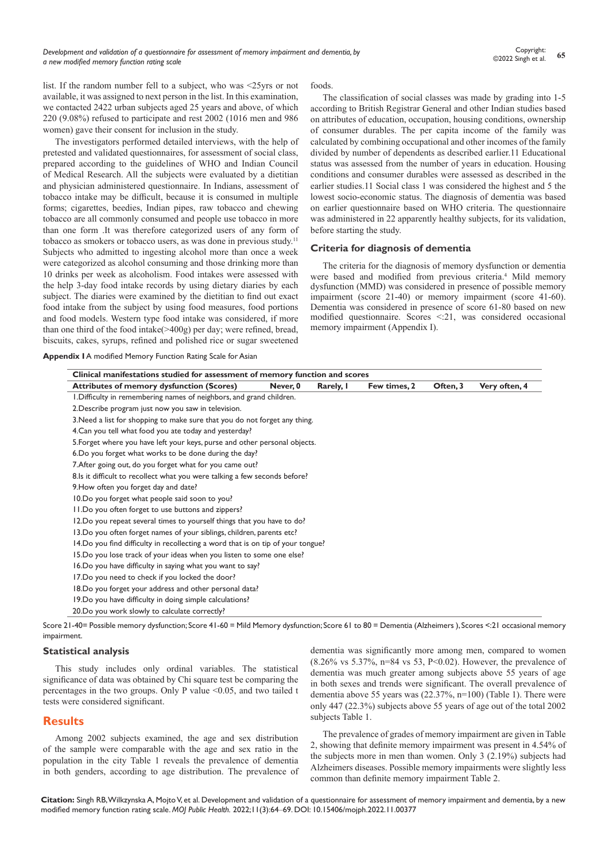list. If the random number fell to a subject, who was <25yrs or not available, it was assigned to next person in the list. In this examination, we contacted 2422 urban subjects aged 25 years and above, of which 220 (9.08%) refused to participate and rest 2002 (1016 men and 986 women) gave their consent for inclusion in the study.

The investigators performed detailed interviews, with the help of pretested and validated questionnaires, for assessment of social class, prepared according to the guidelines of WHO and Indian Council of Medical Research. All the subjects were evaluated by a dietitian and physician administered questionnaire. In Indians, assessment of tobacco intake may be difficult, because it is consumed in multiple forms; cigarettes, beedies, Indian pipes, raw tobacco and chewing tobacco are all commonly consumed and people use tobacco in more than one form .It was therefore categorized users of any form of tobacco as smokers or tobacco users, as was done in previous study.<sup>11</sup> Subjects who admitted to ingesting alcohol more than once a week were categorized as alcohol consuming and those drinking more than 10 drinks per week as alcoholism. Food intakes were assessed with the help 3-day food intake records by using dietary diaries by each subject. The diaries were examined by the dietitian to find out exact food intake from the subject by using food measures, food portions and food models. Western type food intake was considered, if more than one third of the food intake(>400g) per day; were refined, bread, biscuits, cakes, syrups, refined and polished rice or sugar sweetened

foods.

The classification of social classes was made by grading into 1-5 according to British Registrar General and other Indian studies based on attributes of education, occupation, housing conditions, ownership of consumer durables. The per capita income of the family was calculated by combining occupational and other incomes of the family divided by number of dependents as described earlier.11 Educational status was assessed from the number of years in education. Housing conditions and consumer durables were assessed as described in the earlier studies.11 Social class 1 was considered the highest and 5 the lowest socio-economic status. The diagnosis of dementia was based on earlier questionnaire based on WHO criteria. The questionnaire was administered in 22 apparently healthy subjects, for its validation, before starting the study.

#### **Criteria for diagnosis of dementia**

The criteria for the diagnosis of memory dysfunction or dementia were based and modified from previous criteria.<sup>4</sup> Mild memory dysfunction (MMD) was considered in presence of possible memory impairment (score 21-40) or memory impairment (score 41-60). Dementia was considered in presence of score 61-80 based on new modified questionnaire. Scores <:21, was considered occasional memory impairment (Appendix I).

**Appendix I** A modified Memory Function Rating Scale for Asian

| <b>Attributes of memory dysfunction (Scores)</b>                                 | Never, 0 | Rarely, I | Few times, 2 | Often, 3 | Very often, 4 |
|----------------------------------------------------------------------------------|----------|-----------|--------------|----------|---------------|
| I. Difficulty in remembering names of neighbors, and grand children.             |          |           |              |          |               |
| 2. Describe program just now you saw in television.                              |          |           |              |          |               |
| 3. Need a list for shopping to make sure that you do not forget any thing.       |          |           |              |          |               |
| 4. Can you tell what food you ate today and yesterday?                           |          |           |              |          |               |
| 5. Forget where you have left your keys, purse and other personal objects.       |          |           |              |          |               |
| 6. Do you forget what works to be done during the day?                           |          |           |              |          |               |
| 7. After going out, do you forget what for you came out?                         |          |           |              |          |               |
| 8. Is it difficult to recollect what you were talking a few seconds before?      |          |           |              |          |               |
| 9. How often you forget day and date?                                            |          |           |              |          |               |
| 10.Do you forget what people said soon to you?                                   |          |           |              |          |               |
| II.Do you often forget to use buttons and zippers?                               |          |           |              |          |               |
| 12. Do you repeat several times to yourself things that you have to do?          |          |           |              |          |               |
| 13. Do you often forget names of your siblings, children, parents etc?           |          |           |              |          |               |
| 14. Do you find difficulty in recollecting a word that is on tip of your tongue? |          |           |              |          |               |
| 15. Do you lose track of your ideas when you listen to some one else?            |          |           |              |          |               |
| 16.Do you have difficulty in saying what you want to say?                        |          |           |              |          |               |
| 17.Do you need to check if you locked the door?                                  |          |           |              |          |               |
| 18.Do you forget your address and other personal data?                           |          |           |              |          |               |
| 19. Do you have difficulty in doing simple calculations?                         |          |           |              |          |               |
| 20. Do you work slowly to calculate correctly?                                   |          |           |              |          |               |

Score 21-40= Possible memory dysfunction; Score 41-60 = Mild Memory dysfunction; Score 61 to 80 = Dementia (Alzheimers ), Scores <:21 occasional memory impairment.

#### **Statistical analysis**

This study includes only ordinal variables. The statistical significance of data was obtained by Chi square test be comparing the percentages in the two groups. Only P value  $\leq 0.05$ , and two tailed t tests were considered significant.

#### **Results**

Among 2002 subjects examined, the age and sex distribution of the sample were comparable with the age and sex ratio in the population in the city Table 1 reveals the prevalence of dementia in both genders, according to age distribution. The prevalence of dementia was significantly more among men, compared to women (8.26% vs 5.37%, n=84 vs 53, P<0.02). However, the prevalence of dementia was much greater among subjects above 55 years of age in both sexes and trends were significant. The overall prevalence of dementia above 55 years was (22.37%, n=100) (Table 1). There were only 447 (22.3%) subjects above 55 years of age out of the total 2002 subjects Table 1.

The prevalence of grades of memory impairment are given in Table 2, showing that definite memory impairment was present in 4.54% of the subjects more in men than women. Only 3 (2.19%) subjects had Alzheimers diseases. Possible memory impairments were slightly less common than definite memory impairment Table 2.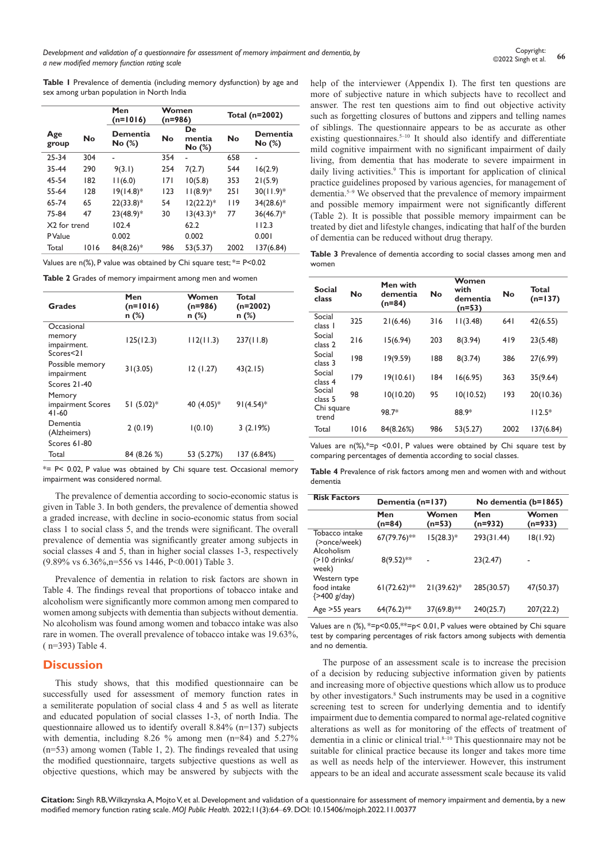**Table 1** Prevalence of dementia (including memory dysfunction) by age and sex among urban population in North India

|                |           | Men<br>$(n=1016)$  | Women<br>$(n=986)$ |                       | Total (n=2002) |                    |  |
|----------------|-----------|--------------------|--------------------|-----------------------|----------------|--------------------|--|
| Age<br>group   | <b>No</b> | Dementia<br>No (%) | No                 | De<br>mentia<br>No(%) | <b>No</b>      | Dementia<br>No (%) |  |
| 25-34          | 304       |                    | 354                | ٠                     | 658            |                    |  |
| 35-44          | 290       | 9(3.1)             | 254                | 7(2.7)                | 544            | 16(2.9)            |  |
| 45-54          | 182       | 11(6.0)            | 7                  | 10(5.8)               | 353            | 21(5.9)            |  |
| 55-64          | 128       | $19(14.8)^*$       | 123                | $11(8.9)*$            | 251            | $30(11.9)*$        |  |
| 65-74          | 65        | $22(33.8)*$        | 54                 | $12(22.2)*$           | 119            | $34(28.6)*$        |  |
| 75-84          | 47        | $23(48.9)*$        | 30                 | $13(43.3)*$           | 77             | $36(46.7)^*$       |  |
| X2 for trend   |           | 102.4              |                    | 62.2                  |                | 112.3              |  |
| <b>P</b> Value |           | 0.002              |                    | 0.002                 |                | 0.001              |  |
| Total          | 1016      | 84(8.26)*          | 986                | 53(5.37)              | 2002           | 137(6.84)          |  |

Values are n(%), P value was obtained by Chi square test; \*= P<0.02

**Table 2** Grades of memory impairment among men and women

| <b>Grades</b>                            | Men<br>$(n=1016)$<br>$n$ (%) | Women<br>$(n=986)$<br>n (%) | Total<br>$(n=2002)$<br>n (%) |
|------------------------------------------|------------------------------|-----------------------------|------------------------------|
| Occasional                               |                              |                             |                              |
| memory<br>impairment.<br>Scores<21       | 125(12.3)                    | 112(11.3)                   | 237(11.8)                    |
| Possible memory<br>impairment            | 31(3.05)                     | 12(1.27)                    | 43(2.15)                     |
| Scores 21-40                             |                              |                             |                              |
| Memory<br>impairment Scores<br>$41 - 60$ | 51 $(5.02)*$                 | 40 (4.05)*                  | $91(4.54)$ *                 |
| Dementia<br>(Alzheimers)                 | 2(0.19)                      | 1(0.10)                     | 3(2.19%)                     |
| Scores 61-80                             |                              |                             |                              |
| Total                                    | 84 (8.26 %)                  | 53 (5.27%)                  | 137 (6.84%)                  |

\*= P< 0.02, P value was obtained by Chi square test. Occasional memory impairment was considered normal.

The prevalence of dementia according to socio-economic status is given in Table 3. In both genders, the prevalence of dementia showed a graded increase, with decline in socio-economic status from social class 1 to social class 5, and the trends were significant. The overall prevalence of dementia was significantly greater among subjects in social classes 4 and 5, than in higher social classes 1-3, respectively (9.89% vs 6.36%,n=556 vs 1446, P<0.001) Table 3.

Prevalence of dementia in relation to risk factors are shown in Table 4. The findings reveal that proportions of tobacco intake and alcoholism were significantly more common among men compared to women among subjects with dementia than subjects without dementia. No alcoholism was found among women and tobacco intake was also rare in women. The overall prevalence of tobacco intake was 19.63%, ( n=393) Table 4.

## **Discussion**

This study shows, that this modified questionnaire can be successfully used for assessment of memory function rates in a semiliterate population of social class 4 and 5 as well as literate and educated population of social classes 1-3, of north India. The questionnaire allowed us to identify overall 8.84% (n=137) subjects with dementia, including 8.26 % among men (n=84) and 5.27% (n=53) among women (Table 1, 2). The findings revealed that using the modified questionnaire, targets subjective questions as well as objective questions, which may be answered by subjects with the

help of the interviewer (Appendix I). The first ten questions are more of subjective nature in which subjects have to recollect and answer. The rest ten questions aim to find out objective activity such as forgetting closures of buttons and zippers and telling names of siblings. The questionnaire appears to be as accurate as other existing questionnaires.<sup>5-10</sup> It should also identify and differentiate mild cognitive impairment with no significant impairment of daily living, from dementia that has moderate to severe impairment in daily living activities.<sup>9</sup> This is important for application of clinical practice guidelines proposed by various agencies, for management of dementia.5–9 We observed that the prevalence of memory impairment and possible memory impairment were not significantly different (Table 2). It is possible that possible memory impairment can be treated by diet and lifestyle changes, indicating that half of the burden of dementia can be reduced without drug therapy.

**Table 3** Prevalence of dementia according to social classes among men and women

| <b>Social</b><br>class | No   | Men with<br>dementia<br>$(n=84)$ | No  | Women<br>with<br>dementia<br>$(n=53)$ | No   | Total<br>$(n=137)$ |
|------------------------|------|----------------------------------|-----|---------------------------------------|------|--------------------|
| Social<br>class 1      | 325  | 21(6.46)                         | 316 | 11(3.48)                              | 64 I | 42(6.55)           |
| Social<br>class 2      | 216  | 15(6.94)                         | 203 | 8(3.94)                               | 419  | 23(5.48)           |
| Social<br>class 3      | 198  | 19(9.59)                         | 188 | 8(3.74)                               | 386  | 27(6.99)           |
| Social<br>class 4      | 179  | 19(10.61)                        | 184 | 16(6.95)                              | 363  | 35(9.64)           |
| Social<br>class 5      | 98   | 10(10.20)                        | 95  | 10(10.52)                             | 193  | 20(10.36)          |
| Chi square<br>trend    |      | 98.7*                            |     | 88.9*                                 |      | $112.5*$           |
| Total                  | 1016 | 84(8.26%)                        | 986 | 53(5.27)                              | 2002 | 137(6.84)          |

Values are  $n\frac{1}{2}$ ,\*=p <0.01, P values were obtained by Chi square test by comparing percentages of dementia according to social classes.

**Table 4** Prevalence of risk factors among men and women with and without dementia

| <b>Risk Factors</b>                             | Dementia (n=137) |                   | No dementia $(b=1865)$ |                    |  |
|-------------------------------------------------|------------------|-------------------|------------------------|--------------------|--|
|                                                 | Men<br>(n=84)    | Women<br>$(n=53)$ | Men<br>$(n=932)$       | Women<br>$(n=933)$ |  |
| Tobacco intake<br>(>once/week)<br>Alcoholism    | 67(79.76)**      | $15(28.3)*$       | 293(31.44)             | 18(1.92)           |  |
| $(>10$ drinks/<br>week)                         | $8(9.52)$ **     | ä,                | 23(2.47)               |                    |  |
| Western type<br>food intake<br>$\{$ >400 g/day) | $61(72.62)$ **   | $21(39.62)^*$     | 285(30.57)             | 47(50.37)          |  |
| Age > 55 years                                  | $64(76.2)$ **    | $37(69.8)$ **     | 240(25.7)              | 207(22.2)          |  |

Values are n (%), \*=p<0.05,\*\*=p< 0.01, P values were obtained by Chi square test by comparing percentages of risk factors among subjects with dementia and no dementia.

The purpose of an assessment scale is to increase the precision of a decision by reducing subjective information given by patients and increasing more of objective questions which allow us to produce by other investigators.<sup>8</sup> Such instruments may be used in a cognitive screening test to screen for underlying dementia and to identify impairment due to dementia compared to normal age-related cognitive alterations as well as for monitoring of the effects of treatment of dementia in a clinic or clinical trial. $8-10$  This questionnaire may not be suitable for clinical practice because its longer and takes more time as well as needs help of the interviewer. However, this instrument appears to be an ideal and accurate assessment scale because its valid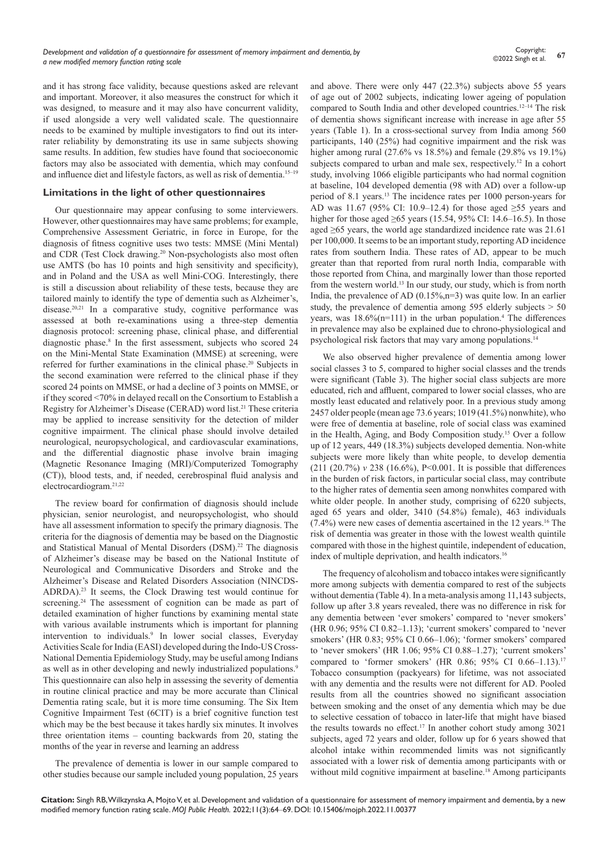and it has strong face validity, because questions asked are relevant and important. Moreover, it also measures the construct for which it was designed, to measure and it may also have concurrent validity, if used alongside a very well validated scale. The questionnaire needs to be examined by multiple investigators to find out its interrater reliability by demonstrating its use in same subjects showing same results. In addition, few studies have found that socioeconomic factors may also be associated with dementia, which may confound and influence diet and lifestyle factors, as well as risk of dementia.15–19

#### **Limitations in the light of other questionnaires**

Our questionnaire may appear confusing to some interviewers. However, other questionnaires may have same problems; for example, Comprehensive Assessment Geriatric, in force in Europe, for the diagnosis of fitness cognitive uses two tests: MMSE (Mini Mental) and CDR (Test Clock drawing.<sup>20</sup> Non-psychologists also most often use AMTS (bo has 10 points and high sensitivity and specificity), and in Poland and the USA as well Mini-COG. Interestingly, there is still a discussion about reliability of these tests, because they are tailored mainly to identify the type of dementia such as Alzheimer's, disease.<sup>20,21</sup> In a comparative study, cognitive performance was assessed at both re-examinations using a three-step dementia diagnosis protocol: screening phase, clinical phase, and differential diagnostic phase.<sup>8</sup> In the first assessment, subjects who scored 24 on the Mini-Mental State Examination (MMSE) at screening, were referred for further examinations in the clinical phase.<sup>20</sup> Subjects in the second examination were referred to the clinical phase if they scored 24 points on MMSE, or had a decline of 3 points on MMSE, or if they scored <70% in delayed recall on the Consortium to Establish a Registry for Alzheimer's Disease (CERAD) word list.<sup>21</sup> These criteria may be applied to increase sensitivity for the detection of milder cognitive impairment. The clinical phase should involve detailed neurological, neuropsychological, and cardiovascular examinations, and the differential diagnostic phase involve brain imaging (Magnetic Resonance Imaging (MRI)/Computerized Tomography (CT)), blood tests, and, if needed, cerebrospinal fluid analysis and electrocardiogram.21,22

The review board for confirmation of diagnosis should include physician, senior neurologist, and neuropsychologist, who should have all assessment information to specify the primary diagnosis. The criteria for the diagnosis of dementia may be based on the Diagnostic and Statistical Manual of Mental Disorders (DSM).<sup>22</sup> The diagnosis of Alzheimer's disease may be based on the National Institute of Neurological and Communicative Disorders and Stroke and the Alzheimer's Disease and Related Disorders Association (NINCDS-ADRDA).23 It seems, the Clock Drawing test would continue for screening.<sup>24</sup> The assessment of cognition can be made as part of detailed examination of higher functions by examining mental state with various available instruments which is important for planning intervention to individuals.<sup>9</sup> In lower social classes, Everyday Activities Scale for India (EASI) developed during the Indo-US Cross-National Dementia Epidemiology Study, may be useful among Indians as well as in other developing and newly industrialized populations.<sup>9</sup> This questionnaire can also help in assessing the severity of dementia in routine clinical practice and may be more accurate than Clinical Dementia rating scale, but it is more time consuming. The Six Item Cognitive Impairment Test (6CIT) is a brief cognitive function test which may be the best because it takes hardly six minutes. It involves three orientation items – counting backwards from 20, stating the months of the year in reverse and learning an address

The prevalence of dementia is lower in our sample compared to other studies because our sample included young population, 25 years and above. There were only 447 (22.3%) subjects above 55 years of age out of 2002 subjects, indicating lower ageing of population compared to South India and other developed countries.<sup>12-14</sup> The risk of dementia shows significant increase with increase in age after 55 years (Table 1). In a cross-sectional survey from India among 560 participants, 140 (25%) had cognitive impairment and the risk was higher among rural (27.6% vs 18.5%) and female (29.8% vs 19.1%) subjects compared to urban and male sex, respectively.<sup>12</sup> In a cohort study, involving 1066 eligible participants who had normal cognition at baseline, 104 developed dementia (98 with AD) over a follow-up period of 8.1 years.13 The incidence rates per 1000 person-years for AD was 11.67 (95% CI: 10.9–12.4) for those aged ≥55 years and higher for those aged  $\geq 65$  years (15.54, 95% CI: 14.6–16.5). In those aged ≥65 years, the world age standardized incidence rate was 21.61 per 100,000. It seems to be an important study, reporting AD incidence rates from southern India. These rates of AD, appear to be much greater than that reported from rural north India, comparable with those reported from China, and marginally lower than those reported from the western world.13 In our study, our study, which is from north India, the prevalence of AD  $(0.15\%, n=3)$  was quite low. In an earlier study, the prevalence of dementia among 595 elderly subjects  $> 50$ years, was  $18.6\%$ (n=111) in the urban population.<sup>4</sup> The differences in prevalence may also be explained due to chrono-physiological and psychological risk factors that may vary among populations.14

We also observed higher prevalence of dementia among lower social classes 3 to 5, compared to higher social classes and the trends were significant (Table 3). The higher social class subjects are more educated, rich and affluent, compared to lower social classes, who are mostly least educated and relatively poor. In a previous study among 2457 older people (mean age 73.6 years; 1019 (41.5%) nonwhite), who were free of dementia at baseline, role of social class was examined in the Health, Aging, and Body Composition study.15 Over a follow up of 12 years, 449 (18.3%) subjects developed dementia. Non-white subjects were more likely than white people, to develop dementia (211 (20.7%) *v* 238 (16.6%), P<0.001. It is possible that differences in the burden of risk factors, in particular social class, may contribute to the higher rates of dementia seen among nonwhites compared with white older people. In another study, comprising of 6220 subjects, aged 65 years and older, 3410 (54.8%) female), 463 individuals  $(7.4\%)$  were new cases of dementia ascertained in the 12 years.<sup>16</sup> The risk of dementia was greater in those with the lowest wealth quintile compared with those in the highest quintile, independent of education, index of multiple deprivation, and health indicators.<sup>16</sup>

The frequency of alcoholism and tobacco intakes were significantly more among subjects with dementia compared to rest of the subjects without dementia (Table 4). In a meta-analysis among 11,143 subjects, follow up after 3.8 years revealed, there was no difference in risk for any dementia between 'ever smokers' compared to 'never smokers' (HR 0.96; 95% CI 0.82–1.13); 'current smokers' compared to 'never smokers' (HR 0.83; 95% CI 0.66–1.06); 'former smokers' compared to 'never smokers' (HR 1.06; 95% CI 0.88–1.27); 'current smokers' compared to 'former smokers' (HR 0.86; 95% CI 0.66–1.13).17 Tobacco consumption (packyears) for lifetime, was not associated with any dementia and the results were not different for AD. Pooled results from all the countries showed no significant association between smoking and the onset of any dementia which may be due to selective cessation of tobacco in later-life that might have biased the results towards no effect.<sup>17</sup> In another cohort study among 3021 subjects, aged 72 years and older, follow up for 6 years showed that alcohol intake within recommended limits was not significantly associated with a lower risk of dementia among participants with or without mild cognitive impairment at baseline.<sup>18</sup> Among participants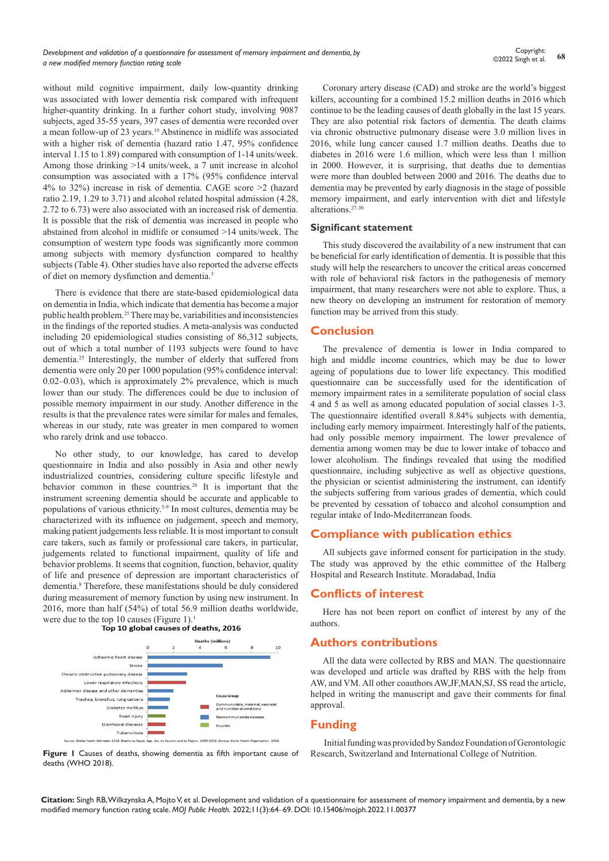without mild cognitive impairment, daily low-quantity drinking was associated with lower dementia risk compared with infrequent higher-quantity drinking. In a further cohort study, involving 9087 subjects, aged 35-55 years, 397 cases of dementia were recorded over a mean follow-up of 23 years.19 Abstinence in midlife was associated with a higher risk of dementia (hazard ratio 1.47, 95% confidence interval 1.15 to 1.89) compared with consumption of 1-14 units/week. Among those drinking >14 units/week, a 7 unit increase in alcohol consumption was associated with a 17% (95% confidence interval 4% to 32%) increase in risk of dementia. CAGE score >2 (hazard ratio 2.19, 1.29 to 3.71) and alcohol related hospital admission (4.28, 2.72 to 6.73) were also associated with an increased risk of dementia. It is possible that the risk of dementia was increased in people who abstained from alcohol in midlife or consumed >14 units/week. The consumption of western type foods was significantly more common among subjects with memory dysfunction compared to healthy subjects (Table 4). Other studies have also reported the adverse effects of diet on memory dysfunction and dementia.3

There is evidence that there are state-based epidemiological data on dementia in India, which indicate that dementia has become a major public health problem.25 There may be, variabilities and inconsistencies in the findings of the reported studies. A meta-analysis was conducted including 20 epidemiological studies consisting of 86,312 subjects, out of which a total number of 1193 subjects were found to have dementia.25 Interestingly, the number of elderly that suffered from dementia were only 20 per 1000 population (95% confidence interval: 0.02–0.03), which is approximately 2% prevalence, which is much lower than our study. The differences could be due to inclusion of possible memory impairment in our study. Another difference in the results is that the prevalence rates were similar for males and females, whereas in our study, rate was greater in men compared to women who rarely drink and use tobacco.

No other study, to our knowledge, has cared to develop questionnaire in India and also possibly in Asia and other newly industrialized countries, considering culture specific lifestyle and behavior common in these countries.<sup>26</sup> It is important that the instrument screening dementia should be accurate and applicable to populations of various ethnicity.5-9 In most cultures, dementia may be characterized with its influence on judgement, speech and memory, making patient judgements less reliable. It is most important to consult care takers, such as family or professional care takers, in particular, judgements related to functional impairment, quality of life and behavior problems. It seems that cognition, function, behavior, quality of life and presence of depression are important characteristics of dementia.8 Therefore, these manifestations should be duly considered during measurement of memory function by using new instrument. In 2016, more than half (54%) of total 56.9 million deaths worldwide, were due to the top 10 causes (Figure 1).<sup>1</sup><br>Top 10 global causes of deaths, 2016





Coronary artery disease (CAD) and stroke are the world's biggest killers, accounting for a combined 15.2 million deaths in 2016 which continue to be the leading causes of death globally in the last 15 years. They are also potential risk factors of dementia. The death claims via chronic obstructive pulmonary disease were 3.0 million lives in 2016, while lung cancer caused 1.7 million deaths. Deaths due to diabetes in 2016 were 1.6 million, which were less than 1 million in 2000. However, it is surprising, that deaths due to dementias were more than doubled between 2000 and 2016. The deaths due to dementia may be prevented by early diagnosis in the stage of possible memory impairment, and early intervention with diet and lifestyle alterations.27-30

#### **Significant statement**

This study discovered the availability of a new instrument that can be beneficial for early identification of dementia. It is possible that this study will help the researchers to uncover the critical areas concerned with role of behavioral risk factors in the pathogenesis of memory impairment, that many researchers were not able to explore. Thus, a new theory on developing an instrument for restoration of memory function may be arrived from this study.

## **Conclusion**

The prevalence of dementia is lower in India compared to high and middle income countries, which may be due to lower ageing of populations due to lower life expectancy. This modified questionnaire can be successfully used for the identification of memory impairment rates in a semiliterate population of social class 4 and 5 as well as among educated population of social classes 1-3. The questionnaire identified overall 8.84% subjects with dementia, including early memory impairment. Interestingly half of the patients, had only possible memory impairment. The lower prevalence of dementia among women may be due to lower intake of tobacco and lower alcoholism. The findings revealed that using the modified questionnaire, including subjective as well as objective questions, the physician or scientist administering the instrument, can identify the subjects suffering from various grades of dementia, which could be prevented by cessation of tobacco and alcohol consumption and regular intake of Indo-Mediterranean foods.

## **Compliance with publication ethics**

All subjects gave informed consent for participation in the study. The study was approved by the ethic committee of the Halberg Hospital and Research Institute. Moradabad, India

## **Conflicts of interest**

Here has not been report on conflict of interest by any of the authors.

## **Authors contributions**

All the data were collected by RBS and MAN. The questionnaire was developed and article was drafted by RBS with the help from AW, and VM. All other coauthors AW,JF,MAN,SJ, SS read the article, helped in writing the manuscript and gave their comments for final approval.

## **Funding**

Initial funding was provided by Sandoz Foundation of Gerontologic Research, Switzerland and International College of Nutrition.